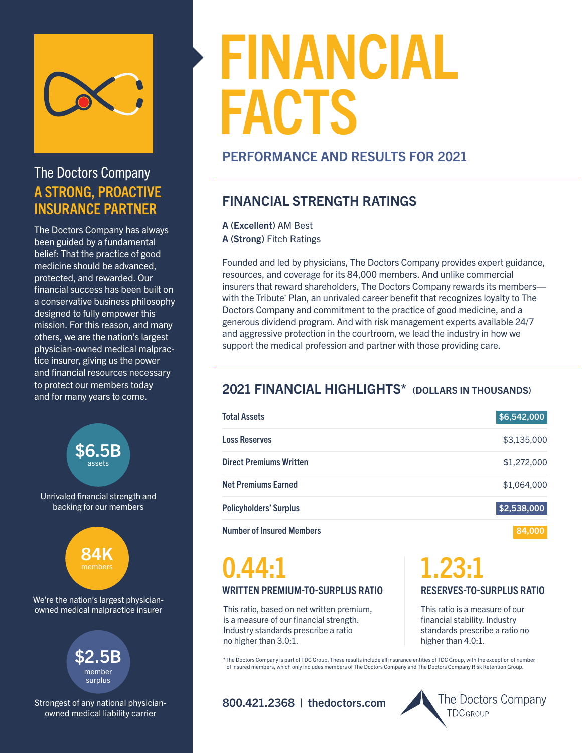

## The Doctors Company A STRONG, PROACTIVE INSURANCE PARTNER

The Doctors Company has always been guided by a fundamental belief: That the practice of good medicine should be advanced, protected, and rewarded. Our financial success has been built on a conservative business philosophy designed to fully empower this mission. For this reason, and many others, we are the nation's largest physician-owned medical malpractice insurer, giving us the power and financial resources necessary to protect our members today and for many years to come.

Unrivaled financial strength and backing for our members \$6.5B assets



We're the nation's largest physicianowned medical malpractice insurer



Strongest of any national physicianowned medical liability carrier

# FINANCIAL FACTS

#### PERFORMANCE AND RESULTS FOR 2021

### FINANCIAL STRENGTH RATINGS

A (Excellent) AM Best A (Strong) Fitch Ratings

Founded and led by physicians, The Doctors Company provides expert guidance, resources, and coverage for its 84,000 members. And unlike commercial insurers that reward shareholders, The Doctors Company rewards its members with the Tribute' Plan, an unrivaled career benefit that recognizes loyalty to The Doctors Company and commitment to the practice of good medicine, and a generous dividend program. And with risk management experts available 24/7 and aggressive protection in the courtroom, we lead the industry in how we support the medical profession and partner with those providing care.

## 2021 FINANCIAL HIGHLIGHTS\* (DOLLARS IN THOUSANDS)

| <b>Total Assets</b>            | \$6,542,000 |
|--------------------------------|-------------|
| <b>Loss Reserves</b>           | \$3,135,000 |
| <b>Direct Premiums Written</b> | \$1,272,000 |
| <b>Net Premiums Earned</b>     | \$1,064,000 |
| <b>Policyholders' Surplus</b>  | \$2,538,000 |
| .                              | ______      |

Number of Insured Members 84,000

## WRITTEN PREMIUM-TO-SURPLUS RATIO 0.44:1

This ratio, based on net written premium, is a measure of our financial strength. Industry standards prescribe a ratio no higher than 3.0:1.

## RESERVES-TO-SURPLUS RATIO 1.23:1

This ratio is a measure of our financial stability. Industry standards prescribe a ratio no higher than 4.0:1.

\*The Doctors Company is part of TDC Group. These results include all insurance entities of TDC Group, with the exception of number of insured members, which only includes members of The Doctors Company and The Doctors Company Risk Retention Group.

800.421.2368 | thedoctors.com